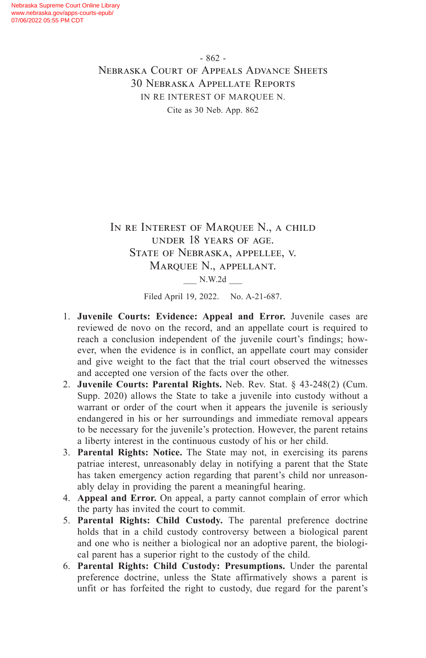IN RE INTEREST OF MARQUEE N., A CHILD under 18 years of age. State of Nebraska, appellee, v. Marquee N., appellant. \_\_\_ N.W.2d \_\_\_

Filed April 19, 2022. No. A-21-687.

- 1. **Juvenile Courts: Evidence: Appeal and Error.** Juvenile cases are reviewed de novo on the record, and an appellate court is required to reach a conclusion independent of the juvenile court's findings; however, when the evidence is in conflict, an appellate court may consider and give weight to the fact that the trial court observed the witnesses and accepted one version of the facts over the other.
- 2. **Juvenile Courts: Parental Rights.** Neb. Rev. Stat. § 43-248(2) (Cum. Supp. 2020) allows the State to take a juvenile into custody without a warrant or order of the court when it appears the juvenile is seriously endangered in his or her surroundings and immediate removal appears to be necessary for the juvenile's protection. However, the parent retains a liberty interest in the continuous custody of his or her child.
- 3. **Parental Rights: Notice.** The State may not, in exercising its parens patriae interest, unreasonably delay in notifying a parent that the State has taken emergency action regarding that parent's child nor unreasonably delay in providing the parent a meaningful hearing.
- 4. **Appeal and Error.** On appeal, a party cannot complain of error which the party has invited the court to commit.
- 5. **Parental Rights: Child Custody.** The parental preference doctrine holds that in a child custody controversy between a biological parent and one who is neither a biological nor an adoptive parent, the biological parent has a superior right to the custody of the child.
- 6. **Parental Rights: Child Custody: Presumptions.** Under the parental preference doctrine, unless the State affirmatively shows a parent is unfit or has forfeited the right to custody, due regard for the parent's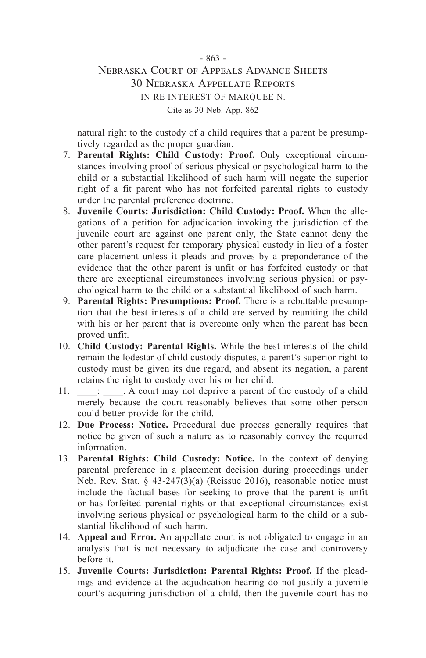natural right to the custody of a child requires that a parent be presumptively regarded as the proper guardian.

- 7. **Parental Rights: Child Custody: Proof.** Only exceptional circumstances involving proof of serious physical or psychological harm to the child or a substantial likelihood of such harm will negate the superior right of a fit parent who has not forfeited parental rights to custody under the parental preference doctrine.
- 8. **Juvenile Courts: Jurisdiction: Child Custody: Proof.** When the allegations of a petition for adjudication invoking the jurisdiction of the juvenile court are against one parent only, the State cannot deny the other parent's request for temporary physical custody in lieu of a foster care placement unless it pleads and proves by a preponderance of the evidence that the other parent is unfit or has forfeited custody or that there are exceptional circumstances involving serious physical or psychological harm to the child or a substantial likelihood of such harm.
- 9. **Parental Rights: Presumptions: Proof.** There is a rebuttable presumption that the best interests of a child are served by reuniting the child with his or her parent that is overcome only when the parent has been proved unfit.
- 10. **Child Custody: Parental Rights.** While the best interests of the child remain the lodestar of child custody disputes, a parent's superior right to custody must be given its due regard, and absent its negation, a parent retains the right to custody over his or her child.
- 11.  $\therefore$  A court may not deprive a parent of the custody of a child merely because the court reasonably believes that some other person could better provide for the child.
- 12. **Due Process: Notice.** Procedural due process generally requires that notice be given of such a nature as to reasonably convey the required information.
- 13. **Parental Rights: Child Custody: Notice.** In the context of denying parental preference in a placement decision during proceedings under Neb. Rev. Stat.  $\frac{1}{2}$  43-247(3)(a) (Reissue 2016), reasonable notice must include the factual bases for seeking to prove that the parent is unfit or has forfeited parental rights or that exceptional circumstances exist involving serious physical or psychological harm to the child or a substantial likelihood of such harm.
- 14. **Appeal and Error.** An appellate court is not obligated to engage in an analysis that is not necessary to adjudicate the case and controversy before it.
- 15. **Juvenile Courts: Jurisdiction: Parental Rights: Proof.** If the pleadings and evidence at the adjudication hearing do not justify a juvenile court's acquiring jurisdiction of a child, then the juvenile court has no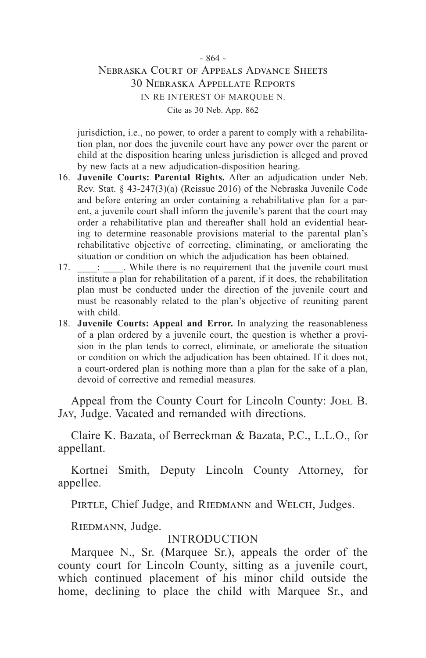jurisdiction, i.e., no power, to order a parent to comply with a rehabilitation plan, nor does the juvenile court have any power over the parent or child at the disposition hearing unless jurisdiction is alleged and proved by new facts at a new adjudication-disposition hearing.

- 16. **Juvenile Courts: Parental Rights.** After an adjudication under Neb. Rev. Stat. § 43-247(3)(a) (Reissue 2016) of the Nebraska Juvenile Code and before entering an order containing a rehabilitative plan for a parent, a juvenile court shall inform the juvenile's parent that the court may order a rehabilitative plan and thereafter shall hold an evidential hearing to determine reasonable provisions material to the parental plan's rehabilitative objective of correcting, eliminating, or ameliorating the situation or condition on which the adjudication has been obtained.
- $17. \_\_\_\_\_\_\$ . While there is no requirement that the juvenile court must institute a plan for rehabilitation of a parent, if it does, the rehabilitation plan must be conducted under the direction of the juvenile court and must be reasonably related to the plan's objective of reuniting parent with child.
- 18. **Juvenile Courts: Appeal and Error.** In analyzing the reasonableness of a plan ordered by a juvenile court, the question is whether a provision in the plan tends to correct, eliminate, or ameliorate the situation or condition on which the adjudication has been obtained. If it does not, a court-ordered plan is nothing more than a plan for the sake of a plan, devoid of corrective and remedial measures.

Appeal from the County Court for Lincoln County: Joel B. Jay, Judge. Vacated and remanded with directions.

Claire K. Bazata, of Berreckman & Bazata, P.C., L.L.O., for appellant.

Kortnei Smith, Deputy Lincoln County Attorney, for appellee.

PIRTLE, Chief Judge, and RIEDMANN and WELCH, Judges.

RIEDMANN, Judge.

### **INTRODUCTION**

Marquee N., Sr. (Marquee Sr.), appeals the order of the county court for Lincoln County, sitting as a juvenile court, which continued placement of his minor child outside the home, declining to place the child with Marquee Sr., and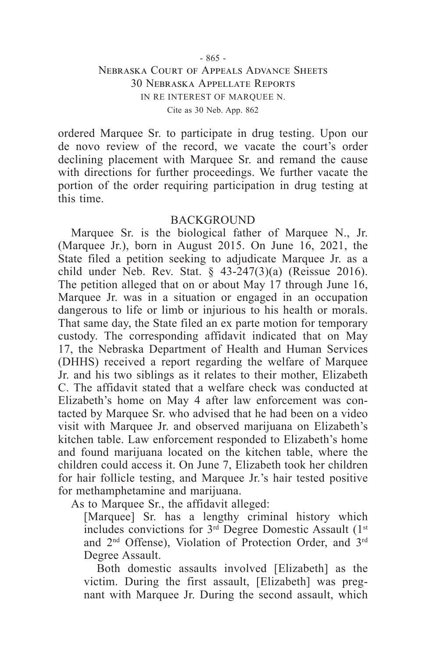ordered Marquee Sr. to participate in drug testing. Upon our de novo review of the record, we vacate the court's order declining placement with Marquee Sr. and remand the cause with directions for further proceedings. We further vacate the portion of the order requiring participation in drug testing at this time.

#### BACKGROUND

Marquee Sr. is the biological father of Marquee N., Jr. (Marquee Jr.), born in August 2015. On June 16, 2021, the State filed a petition seeking to adjudicate Marquee Jr. as a child under Neb. Rev. Stat. § 43-247(3)(a) (Reissue 2016). The petition alleged that on or about May 17 through June 16, Marquee Jr. was in a situation or engaged in an occupation dangerous to life or limb or injurious to his health or morals. That same day, the State filed an ex parte motion for temporary custody. The corresponding affidavit indicated that on May 17, the Nebraska Department of Health and Human Services (DHHS) received a report regarding the welfare of Marquee Jr. and his two siblings as it relates to their mother, Elizabeth C. The affidavit stated that a welfare check was conducted at Elizabeth's home on May 4 after law enforcement was contacted by Marquee Sr. who advised that he had been on a video visit with Marquee Jr. and observed marijuana on Elizabeth's kitchen table. Law enforcement responded to Elizabeth's home and found marijuana located on the kitchen table, where the children could access it. On June 7, Elizabeth took her children for hair follicle testing, and Marquee Jr.'s hair tested positive for methamphetamine and marijuana.

As to Marquee Sr., the affidavit alleged:

[Marquee] Sr. has a lengthy criminal history which includes convictions for  $3<sup>rd</sup>$  Degree Domestic Assault (1<sup>st</sup>) and 2nd Offense), Violation of Protection Order, and 3rd Degree Assault.

Both domestic assaults involved [Elizabeth] as the victim. During the first assault, [Elizabeth] was pregnant with Marquee Jr. During the second assault, which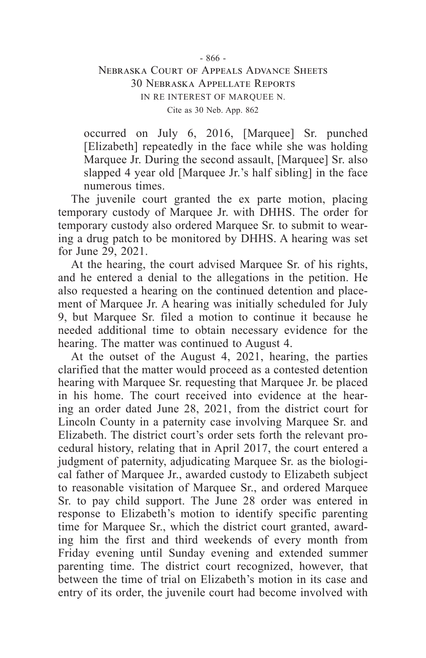occurred on July 6, 2016, [Marquee] Sr. punched [Elizabeth] repeatedly in the face while she was holding Marquee Jr. During the second assault, [Marquee] Sr. also slapped 4 year old [Marquee Jr.'s half sibling] in the face numerous times.

The juvenile court granted the ex parte motion, placing temporary custody of Marquee Jr. with DHHS. The order for temporary custody also ordered Marquee Sr. to submit to wearing a drug patch to be monitored by DHHS. A hearing was set for June 29, 2021.

At the hearing, the court advised Marquee Sr. of his rights, and he entered a denial to the allegations in the petition. He also requested a hearing on the continued detention and placement of Marquee Jr. A hearing was initially scheduled for July 9, but Marquee Sr. filed a motion to continue it because he needed additional time to obtain necessary evidence for the hearing. The matter was continued to August 4.

At the outset of the August 4, 2021, hearing, the parties clarified that the matter would proceed as a contested detention hearing with Marquee Sr. requesting that Marquee Jr. be placed in his home. The court received into evidence at the hearing an order dated June 28, 2021, from the district court for Lincoln County in a paternity case involving Marquee Sr. and Elizabeth. The district court's order sets forth the relevant procedural history, relating that in April 2017, the court entered a judgment of paternity, adjudicating Marquee Sr. as the biological father of Marquee Jr., awarded custody to Elizabeth subject to reasonable visitation of Marquee Sr., and ordered Marquee Sr. to pay child support. The June 28 order was entered in response to Elizabeth's motion to identify specific parenting time for Marquee Sr., which the district court granted, awarding him the first and third weekends of every month from Friday evening until Sunday evening and extended summer parenting time. The district court recognized, however, that between the time of trial on Elizabeth's motion in its case and entry of its order, the juvenile court had become involved with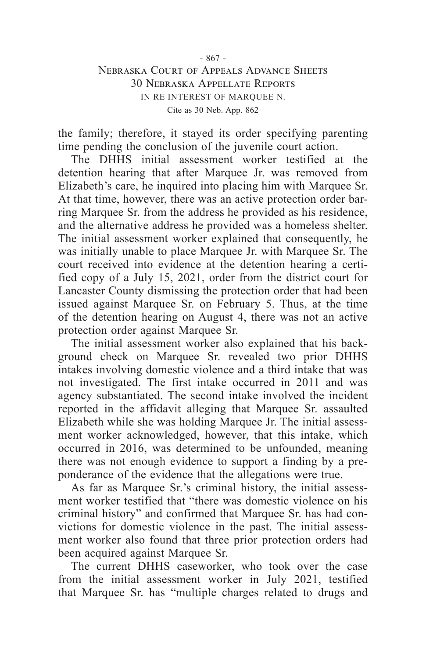the family; therefore, it stayed its order specifying parenting time pending the conclusion of the juvenile court action.

The DHHS initial assessment worker testified at the detention hearing that after Marquee Jr. was removed from Elizabeth's care, he inquired into placing him with Marquee Sr. At that time, however, there was an active protection order barring Marquee Sr. from the address he provided as his residence, and the alternative address he provided was a homeless shelter. The initial assessment worker explained that consequently, he was initially unable to place Marquee Jr. with Marquee Sr. The court received into evidence at the detention hearing a certified copy of a July 15, 2021, order from the district court for Lancaster County dismissing the protection order that had been issued against Marquee Sr. on February 5. Thus, at the time of the detention hearing on August 4, there was not an active protection order against Marquee Sr.

The initial assessment worker also explained that his background check on Marquee Sr. revealed two prior DHHS intakes involving domestic violence and a third intake that was not investigated. The first intake occurred in 2011 and was agency substantiated. The second intake involved the incident reported in the affidavit alleging that Marquee Sr. assaulted Elizabeth while she was holding Marquee Jr. The initial assessment worker acknowledged, however, that this intake, which occurred in 2016, was determined to be unfounded, meaning there was not enough evidence to support a finding by a preponderance of the evidence that the allegations were true.

As far as Marquee Sr.'s criminal history, the initial assessment worker testified that "there was domestic violence on his criminal history" and confirmed that Marquee Sr. has had convictions for domestic violence in the past. The initial assessment worker also found that three prior protection orders had been acquired against Marquee Sr.

The current DHHS caseworker, who took over the case from the initial assessment worker in July 2021, testified that Marquee Sr. has "multiple charges related to drugs and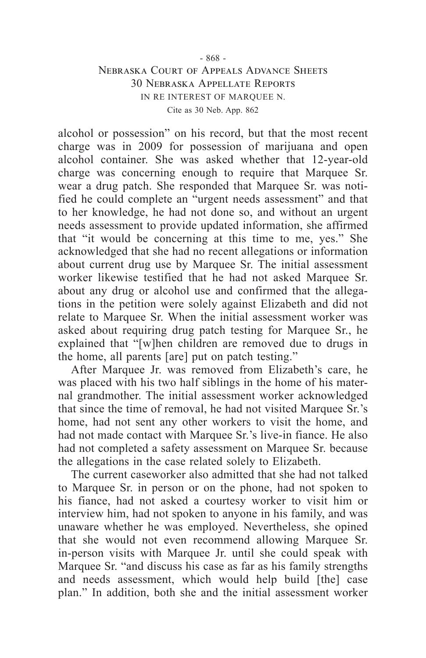alcohol or possession" on his record, but that the most recent charge was in 2009 for possession of marijuana and open alcohol container. She was asked whether that 12-year-old charge was concerning enough to require that Marquee Sr. wear a drug patch. She responded that Marquee Sr. was notified he could complete an "urgent needs assessment" and that to her knowledge, he had not done so, and without an urgent needs assessment to provide updated information, she affirmed that "it would be concerning at this time to me, yes." She acknowledged that she had no recent allegations or information about current drug use by Marquee Sr. The initial assessment worker likewise testified that he had not asked Marquee Sr. about any drug or alcohol use and confirmed that the allegations in the petition were solely against Elizabeth and did not relate to Marquee Sr. When the initial assessment worker was asked about requiring drug patch testing for Marquee Sr., he explained that "[w]hen children are removed due to drugs in the home, all parents [are] put on patch testing."

After Marquee Jr. was removed from Elizabeth's care, he was placed with his two half siblings in the home of his maternal grandmother. The initial assessment worker acknowledged that since the time of removal, he had not visited Marquee Sr.'s home, had not sent any other workers to visit the home, and had not made contact with Marquee Sr.'s live-in fiance. He also had not completed a safety assessment on Marquee Sr. because the allegations in the case related solely to Elizabeth.

The current caseworker also admitted that she had not talked to Marquee Sr. in person or on the phone, had not spoken to his fiance, had not asked a courtesy worker to visit him or interview him, had not spoken to anyone in his family, and was unaware whether he was employed. Nevertheless, she opined that she would not even recommend allowing Marquee Sr. in-person visits with Marquee Jr. until she could speak with Marquee Sr. "and discuss his case as far as his family strengths and needs assessment, which would help build [the] case plan." In addition, both she and the initial assessment worker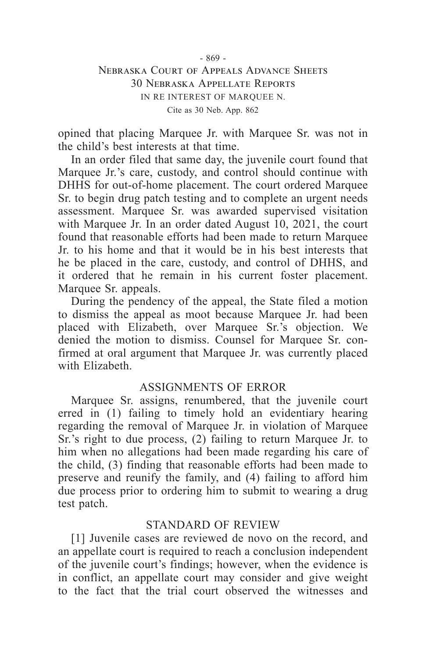opined that placing Marquee Jr. with Marquee Sr. was not in the child's best interests at that time.

In an order filed that same day, the juvenile court found that Marquee Jr.'s care, custody, and control should continue with DHHS for out-of-home placement. The court ordered Marquee Sr. to begin drug patch testing and to complete an urgent needs assessment. Marquee Sr. was awarded supervised visitation with Marquee Jr. In an order dated August  $10$ , 2021, the court found that reasonable efforts had been made to return Marquee Jr. to his home and that it would be in his best interests that he be placed in the care, custody, and control of DHHS, and it ordered that he remain in his current foster placement. Marquee Sr. appeals.

During the pendency of the appeal, the State filed a motion to dismiss the appeal as moot because Marquee Jr. had been placed with Elizabeth, over Marquee Sr.'s objection. We denied the motion to dismiss. Counsel for Marquee Sr. confirmed at oral argument that Marquee Jr. was currently placed with Elizabeth.

#### ASSIGNMENTS OF ERROR

Marquee Sr. assigns, renumbered, that the juvenile court erred in (1) failing to timely hold an evidentiary hearing regarding the removal of Marquee Jr. in violation of Marquee Sr.'s right to due process, (2) failing to return Marquee Jr. to him when no allegations had been made regarding his care of the child, (3) finding that reasonable efforts had been made to preserve and reunify the family, and (4) failing to afford him due process prior to ordering him to submit to wearing a drug test patch.

#### STANDARD OF REVIEW

[1] Juvenile cases are reviewed de novo on the record, and an appellate court is required to reach a conclusion independent of the juvenile court's findings; however, when the evidence is in conflict, an appellate court may consider and give weight to the fact that the trial court observed the witnesses and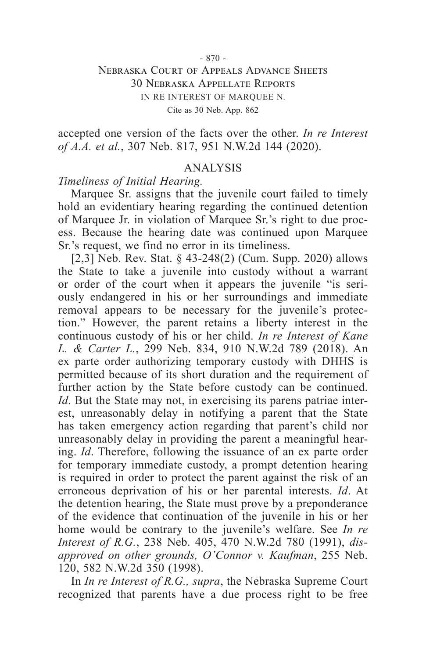#### - 870 -

### Nebraska Court of Appeals Advance Sheets 30 Nebraska Appellate Reports IN RE INTEREST OF MARQUEE N. Cite as 30 Neb. App. 862

accepted one version of the facts over the other. *In re Interest of A.A. et al.*, 307 Neb. 817, 951 N.W.2d 144 (2020).

### ANALYSIS

*Timeliness of Initial Hearing.*

Marquee Sr. assigns that the juvenile court failed to timely hold an evidentiary hearing regarding the continued detention of Marquee Jr. in violation of Marquee Sr.'s right to due process. Because the hearing date was continued upon Marquee Sr.'s request, we find no error in its timeliness.

[2,3] Neb. Rev. Stat. § 43-248(2) (Cum. Supp. 2020) allows the State to take a juvenile into custody without a warrant or order of the court when it appears the juvenile "is seriously endangered in his or her surroundings and immediate removal appears to be necessary for the juvenile's protection." However, the parent retains a liberty interest in the continuous custody of his or her child. *In re Interest of Kane L. & Carter L.*, 299 Neb. 834, 910 N.W.2d 789 (2018). An ex parte order authorizing temporary custody with DHHS is permitted because of its short duration and the requirement of further action by the State before custody can be continued. *Id*. But the State may not, in exercising its parens patriae interest, unreasonably delay in notifying a parent that the State has taken emergency action regarding that parent's child nor unreasonably delay in providing the parent a meaningful hearing. *Id*. Therefore, following the issuance of an ex parte order for temporary immediate custody, a prompt detention hearing is required in order to protect the parent against the risk of an erroneous deprivation of his or her parental interests. *Id*. At the detention hearing, the State must prove by a preponderance of the evidence that continuation of the juvenile in his or her home would be contrary to the juvenile's welfare. See *In re Interest of R.G.*, 238 Neb. 405, 470 N.W.2d 780 (1991), *disapproved on other grounds, O'Connor v. Kaufman*, 255 Neb. 120, 582 N.W.2d 350 (1998).

In *In re Interest of R.G., supra*, the Nebraska Supreme Court recognized that parents have a due process right to be free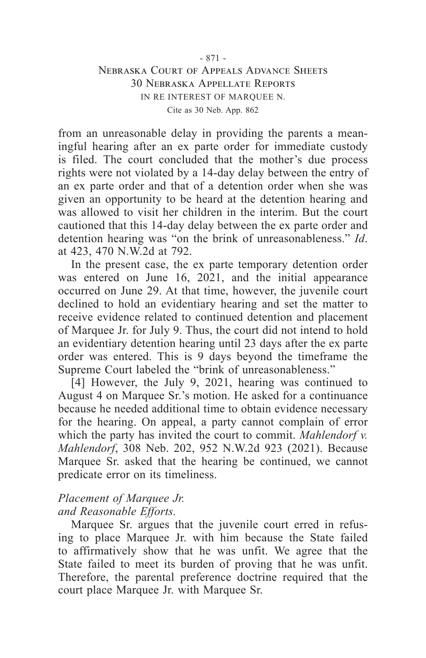from an unreasonable delay in providing the parents a meaningful hearing after an ex parte order for immediate custody is filed. The court concluded that the mother's due process rights were not violated by a 14-day delay between the entry of an ex parte order and that of a detention order when she was given an opportunity to be heard at the detention hearing and was allowed to visit her children in the interim. But the court cautioned that this 14-day delay between the ex parte order and detention hearing was "on the brink of unreasonableness." *Id*. at 423, 470 N.W.2d at 792.

In the present case, the ex parte temporary detention order was entered on June 16, 2021, and the initial appearance occurred on June 29. At that time, however, the juvenile court declined to hold an evidentiary hearing and set the matter to receive evidence related to continued detention and placement of Marquee Jr. for July 9. Thus, the court did not intend to hold an evidentiary detention hearing until 23 days after the ex parte order was entered. This is 9 days beyond the timeframe the Supreme Court labeled the "brink of unreasonableness."

[4] However, the July 9, 2021, hearing was continued to August 4 on Marquee Sr.'s motion. He asked for a continuance because he needed additional time to obtain evidence necessary for the hearing. On appeal, a party cannot complain of error which the party has invited the court to commit. *Mahlendorf v. Mahlendorf*, 308 Neb. 202, 952 N.W.2d 923 (2021). Because Marquee Sr. asked that the hearing be continued, we cannot predicate error on its timeliness.

### *Placement of Marquee Jr. and Reasonable Efforts.*

Marquee Sr. argues that the juvenile court erred in refusing to place Marquee Jr. with him because the State failed to affirmatively show that he was unfit. We agree that the State failed to meet its burden of proving that he was unfit. Therefore, the parental preference doctrine required that the court place Marquee Jr. with Marquee Sr.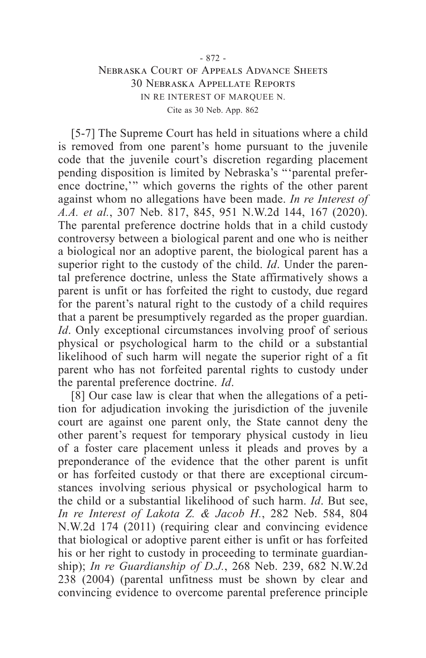[5-7] The Supreme Court has held in situations where a child is removed from one parent's home pursuant to the juvenile code that the juvenile court's discretion regarding placement pending disposition is limited by Nebraska's "'parental preference doctrine,'" which governs the rights of the other parent against whom no allegations have been made. *In re Interest of A.A. et al.*, 307 Neb. 817, 845, 951 N.W.2d 144, 167 (2020). The parental preference doctrine holds that in a child custody controversy between a biological parent and one who is neither a biological nor an adoptive parent, the biological parent has a superior right to the custody of the child. *Id*. Under the parental preference doctrine, unless the State affirmatively shows a parent is unfit or has forfeited the right to custody, due regard for the parent's natural right to the custody of a child requires that a parent be presumptively regarded as the proper guardian. *Id*. Only exceptional circumstances involving proof of serious physical or psychological harm to the child or a substantial likelihood of such harm will negate the superior right of a fit parent who has not forfeited parental rights to custody under the parental preference doctrine. *Id*.

[8] Our case law is clear that when the allegations of a petition for adjudication invoking the jurisdiction of the juvenile court are against one parent only, the State cannot deny the other parent's request for temporary physical custody in lieu of a foster care placement unless it pleads and proves by a preponderance of the evidence that the other parent is unfit or has forfeited custody or that there are exceptional circumstances involving serious physical or psychological harm to the child or a substantial likelihood of such harm. *Id*. But see, *In re Interest of Lakota Z. & Jacob H.*, 282 Neb. 584, 804 N.W.2d 174 (2011) (requiring clear and convincing evidence that biological or adoptive parent either is unfit or has forfeited his or her right to custody in proceeding to terminate guardianship); *In re Guardianship of D.J.*, 268 Neb. 239, 682 N.W.2d 238 (2004) (parental unfitness must be shown by clear and convincing evidence to overcome parental preference principle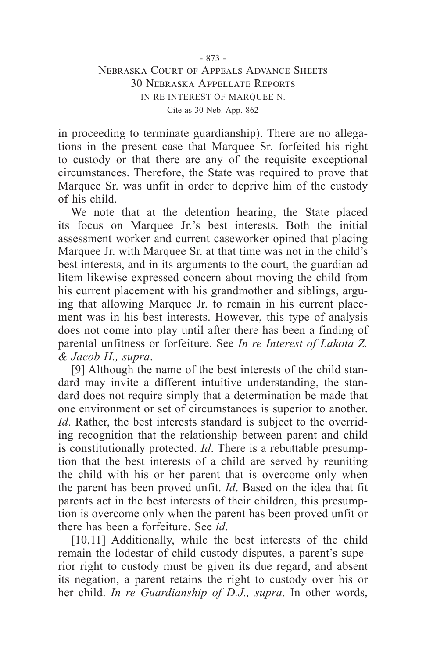in proceeding to terminate guardianship). There are no allegations in the present case that Marquee Sr. forfeited his right to custody or that there are any of the requisite exceptional circumstances. Therefore, the State was required to prove that Marquee Sr. was unfit in order to deprive him of the custody of his child.

We note that at the detention hearing, the State placed its focus on Marquee Jr.'s best interests. Both the initial assessment worker and current caseworker opined that placing Marquee Jr. with Marquee Sr. at that time was not in the child's best interests, and in its arguments to the court, the guardian ad litem likewise expressed concern about moving the child from his current placement with his grandmother and siblings, arguing that allowing Marquee Jr. to remain in his current placement was in his best interests. However, this type of analysis does not come into play until after there has been a finding of parental unfitness or forfeiture. See *In re Interest of Lakota Z. & Jacob H., supra*.

[9] Although the name of the best interests of the child standard may invite a different intuitive understanding, the standard does not require simply that a determination be made that one environment or set of circumstances is superior to another. *Id*. Rather, the best interests standard is subject to the overriding recognition that the relationship between parent and child is constitutionally protected. *Id*. There is a rebuttable presumption that the best interests of a child are served by reuniting the child with his or her parent that is overcome only when the parent has been proved unfit. *Id*. Based on the idea that fit parents act in the best interests of their children, this presumption is overcome only when the parent has been proved unfit or there has been a forfeiture. See *id*.

[10,11] Additionally, while the best interests of the child remain the lodestar of child custody disputes, a parent's superior right to custody must be given its due regard, and absent its negation, a parent retains the right to custody over his or her child. *In re Guardianship of D.J., supra*. In other words,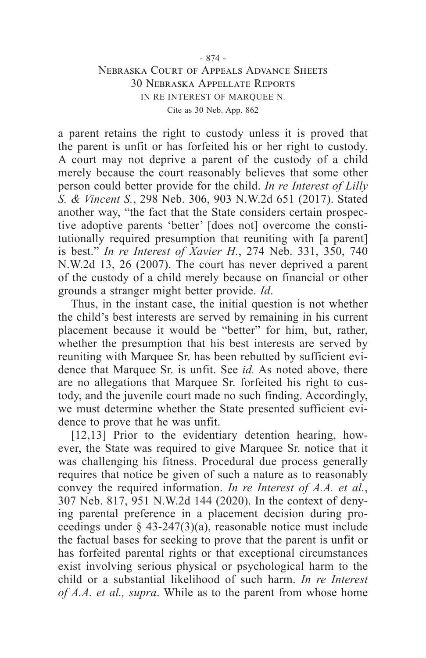a parent retains the right to custody unless it is proved that the parent is unfit or has forfeited his or her right to custody. A court may not deprive a parent of the custody of a child merely because the court reasonably believes that some other person could better provide for the child. *In re Interest of Lilly S. & Vincent S.*, 298 Neb. 306, 903 N.W.2d 651 (2017). Stated another way, "the fact that the State considers certain prospective adoptive parents 'better' [does not] overcome the constitutionally required presumption that reuniting with [a parent] is best." *In re Interest of Xavier H.*, 274 Neb. 331, 350, 740 N.W.2d 13, 26 (2007). The court has never deprived a parent of the custody of a child merely because on financial or other grounds a stranger might better provide. *Id*.

Thus, in the instant case, the initial question is not whether the child's best interests are served by remaining in his current placement because it would be "better" for him, but, rather, whether the presumption that his best interests are served by reuniting with Marquee Sr. has been rebutted by sufficient evidence that Marquee Sr. is unfit. See *id.* As noted above, there are no allegations that Marquee Sr. forfeited his right to custody, and the juvenile court made no such finding. Accordingly, we must determine whether the State presented sufficient evidence to prove that he was unfit.

[12,13] Prior to the evidentiary detention hearing, however, the State was required to give Marquee Sr. notice that it was challenging his fitness. Procedural due process generally requires that notice be given of such a nature as to reasonably convey the required information. *In re Interest of A.A. et al.*, 307 Neb. 817, 951 N.W.2d 144 (2020). In the context of denying parental preference in a placement decision during proceedings under  $\S$  43-247(3)(a), reasonable notice must include the factual bases for seeking to prove that the parent is unfit or has forfeited parental rights or that exceptional circumstances exist involving serious physical or psychological harm to the child or a substantial likelihood of such harm. *In re Interest of A.A. et al., supra*. While as to the parent from whose home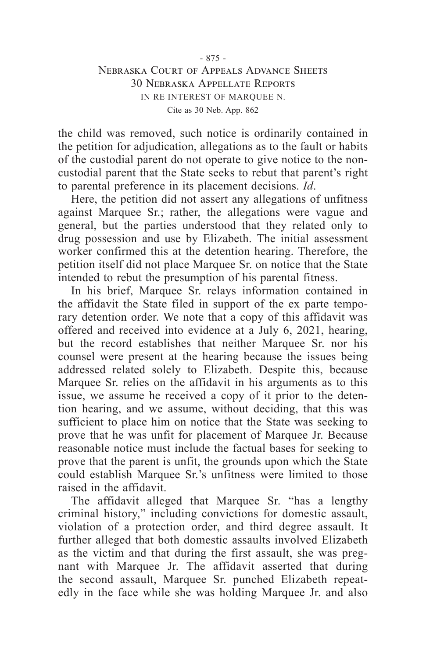the child was removed, such notice is ordinarily contained in the petition for adjudication, allegations as to the fault or habits of the custodial parent do not operate to give notice to the noncustodial parent that the State seeks to rebut that parent's right to parental preference in its placement decisions. *Id*.

Here, the petition did not assert any allegations of unfitness against Marquee Sr.; rather, the allegations were vague and general, but the parties understood that they related only to drug possession and use by Elizabeth. The initial assessment worker confirmed this at the detention hearing. Therefore, the petition itself did not place Marquee Sr. on notice that the State intended to rebut the presumption of his parental fitness.

In his brief, Marquee Sr. relays information contained in the affidavit the State filed in support of the ex parte temporary detention order. We note that a copy of this affidavit was offered and received into evidence at a July 6, 2021, hearing, but the record establishes that neither Marquee Sr. nor his counsel were present at the hearing because the issues being addressed related solely to Elizabeth. Despite this, because Marquee Sr. relies on the affidavit in his arguments as to this issue, we assume he received a copy of it prior to the detention hearing, and we assume, without deciding, that this was sufficient to place him on notice that the State was seeking to prove that he was unfit for placement of Marquee Jr. Because reasonable notice must include the factual bases for seeking to prove that the parent is unfit, the grounds upon which the State could establish Marquee Sr.'s unfitness were limited to those raised in the affidavit.

The affidavit alleged that Marquee Sr. "has a lengthy criminal history," including convictions for domestic assault, violation of a protection order, and third degree assault. It further alleged that both domestic assaults involved Elizabeth as the victim and that during the first assault, she was pregnant with Marquee Jr. The affidavit asserted that during the second assault, Marquee Sr. punched Elizabeth repeatedly in the face while she was holding Marquee Jr. and also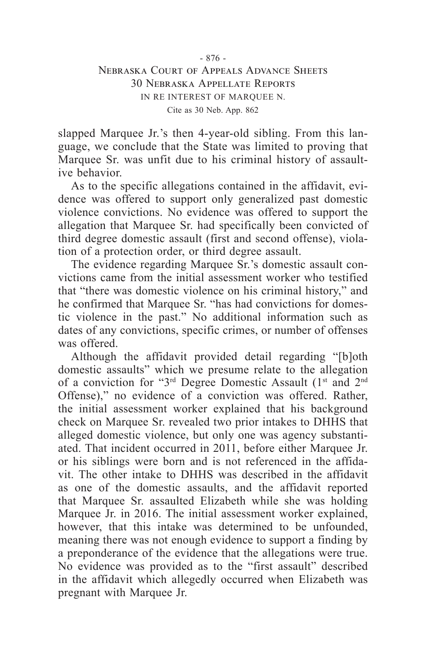slapped Marquee Jr.'s then 4-year-old sibling. From this language, we conclude that the State was limited to proving that Marquee Sr. was unfit due to his criminal history of assaultive behavior.

As to the specific allegations contained in the affidavit, evidence was offered to support only generalized past domestic violence convictions. No evidence was offered to support the allegation that Marquee Sr. had specifically been convicted of third degree domestic assault (first and second offense), violation of a protection order, or third degree assault.

The evidence regarding Marquee Sr.'s domestic assault convictions came from the initial assessment worker who testified that "there was domestic violence on his criminal history," and he confirmed that Marquee Sr. "has had convictions for domestic violence in the past." No additional information such as dates of any convictions, specific crimes, or number of offenses was offered.

Although the affidavit provided detail regarding "[b]oth domestic assaults" which we presume relate to the allegation of a conviction for "3<sup>rd</sup> Degree Domestic Assault (1<sup>st</sup> and 2<sup>nd</sup> Offense)," no evidence of a conviction was offered. Rather, the initial assessment worker explained that his background check on Marquee Sr. revealed two prior intakes to DHHS that alleged domestic violence, but only one was agency substantiated. That incident occurred in 2011, before either Marquee Jr. or his siblings were born and is not referenced in the affidavit. The other intake to DHHS was described in the affidavit as one of the domestic assaults, and the affidavit reported that Marquee Sr. assaulted Elizabeth while she was holding Marquee Jr. in 2016. The initial assessment worker explained, however, that this intake was determined to be unfounded, meaning there was not enough evidence to support a finding by a preponderance of the evidence that the allegations were true. No evidence was provided as to the "first assault" described in the affidavit which allegedly occurred when Elizabeth was pregnant with Marquee Jr.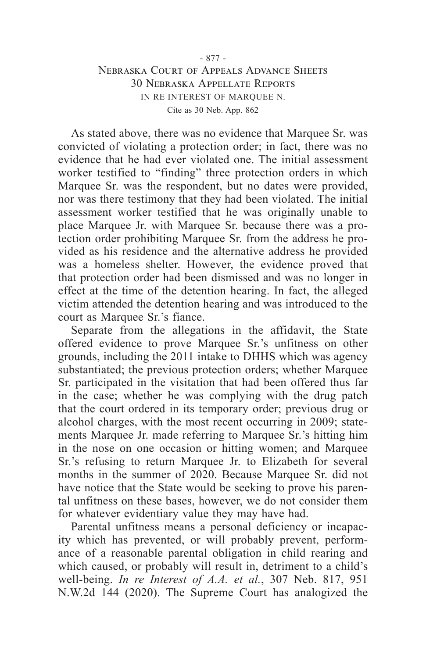As stated above, there was no evidence that Marquee Sr. was convicted of violating a protection order; in fact, there was no evidence that he had ever violated one. The initial assessment worker testified to "finding" three protection orders in which Marquee Sr. was the respondent, but no dates were provided, nor was there testimony that they had been violated. The initial assessment worker testified that he was originally unable to place Marquee Jr. with Marquee Sr. because there was a protection order prohibiting Marquee Sr. from the address he provided as his residence and the alternative address he provided was a homeless shelter. However, the evidence proved that that protection order had been dismissed and was no longer in effect at the time of the detention hearing. In fact, the alleged victim attended the detention hearing and was introduced to the court as Marquee Sr.'s fiance.

Separate from the allegations in the affidavit, the State offered evidence to prove Marquee Sr.'s unfitness on other grounds, including the 2011 intake to DHHS which was agency substantiated; the previous protection orders; whether Marquee Sr. participated in the visitation that had been offered thus far in the case; whether he was complying with the drug patch that the court ordered in its temporary order; previous drug or alcohol charges, with the most recent occurring in 2009; statements Marquee Jr. made referring to Marquee Sr.'s hitting him in the nose on one occasion or hitting women; and Marquee Sr.'s refusing to return Marquee Jr. to Elizabeth for several months in the summer of 2020. Because Marquee Sr. did not have notice that the State would be seeking to prove his parental unfitness on these bases, however, we do not consider them for whatever evidentiary value they may have had.

Parental unfitness means a personal deficiency or incapacity which has prevented, or will probably prevent, performance of a reasonable parental obligation in child rearing and which caused, or probably will result in, detriment to a child's well-being. *In re Interest of A.A. et al.*, 307 Neb. 817, 951 N.W.2d 144 (2020). The Supreme Court has analogized the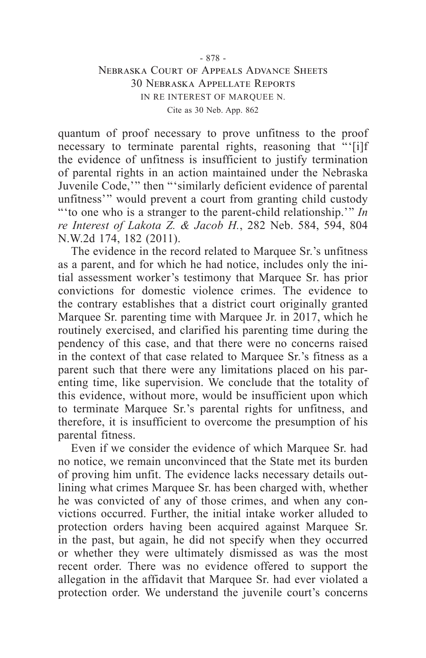quantum of proof necessary to prove unfitness to the proof necessary to terminate parental rights, reasoning that "'[i]f the evidence of unfitness is insufficient to justify termination of parental rights in an action maintained under the Nebraska Juvenile Code,'" then "'similarly deficient evidence of parental unfitness'" would prevent a court from granting child custody "'to one who is a stranger to the parent-child relationship.'" *In re Interest of Lakota Z. & Jacob H.*, 282 Neb. 584, 594, 804 N.W.2d 174, 182 (2011).

The evidence in the record related to Marquee Sr.'s unfitness as a parent, and for which he had notice, includes only the initial assessment worker's testimony that Marquee Sr. has prior convictions for domestic violence crimes. The evidence to the contrary establishes that a district court originally granted Marquee Sr. parenting time with Marquee Jr. in 2017, which he routinely exercised, and clarified his parenting time during the pendency of this case, and that there were no concerns raised in the context of that case related to Marquee Sr.'s fitness as a parent such that there were any limitations placed on his parenting time, like supervision. We conclude that the totality of this evidence, without more, would be insufficient upon which to terminate Marquee Sr.'s parental rights for unfitness, and therefore, it is insufficient to overcome the presumption of his parental fitness.

Even if we consider the evidence of which Marquee Sr. had no notice, we remain unconvinced that the State met its burden of proving him unfit. The evidence lacks necessary details outlining what crimes Marquee Sr. has been charged with, whether he was convicted of any of those crimes, and when any convictions occurred. Further, the initial intake worker alluded to protection orders having been acquired against Marquee Sr. in the past, but again, he did not specify when they occurred or whether they were ultimately dismissed as was the most recent order. There was no evidence offered to support the allegation in the affidavit that Marquee Sr. had ever violated a protection order. We understand the juvenile court's concerns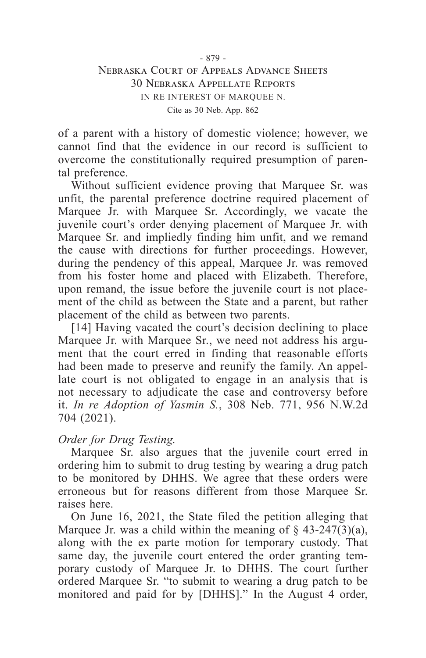of a parent with a history of domestic violence; however, we cannot find that the evidence in our record is sufficient to overcome the constitutionally required presumption of parental preference.

Without sufficient evidence proving that Marquee Sr. was unfit, the parental preference doctrine required placement of Marquee Jr. with Marquee Sr. Accordingly, we vacate the juvenile court's order denying placement of Marquee Jr. with Marquee Sr. and impliedly finding him unfit, and we remand the cause with directions for further proceedings. However, during the pendency of this appeal, Marquee Jr. was removed from his foster home and placed with Elizabeth. Therefore, upon remand, the issue before the juvenile court is not placement of the child as between the State and a parent, but rather placement of the child as between two parents.

[14] Having vacated the court's decision declining to place Marquee Jr. with Marquee Sr., we need not address his argument that the court erred in finding that reasonable efforts had been made to preserve and reunify the family. An appellate court is not obligated to engage in an analysis that is not necessary to adjudicate the case and controversy before it. *In re Adoption of Yasmin S.*, 308 Neb. 771, 956 N.W.2d 704 (2021).

### *Order for Drug Testing.*

Marquee Sr. also argues that the juvenile court erred in ordering him to submit to drug testing by wearing a drug patch to be monitored by DHHS. We agree that these orders were erroneous but for reasons different from those Marquee Sr. raises here.

On June 16, 2021, the State filed the petition alleging that Marquee Jr. was a child within the meaning of  $\S$  43-247(3)(a), along with the ex parte motion for temporary custody. That same day, the juvenile court entered the order granting temporary custody of Marquee Jr. to DHHS. The court further ordered Marquee Sr. "to submit to wearing a drug patch to be monitored and paid for by [DHHS]." In the August 4 order,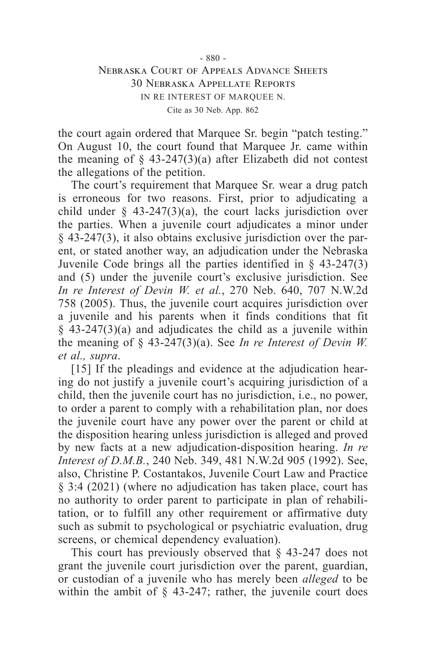the court again ordered that Marquee Sr. begin "patch testing." On August 10, the court found that Marquee Jr. came within the meaning of  $\S$  43-247(3)(a) after Elizabeth did not contest the allegations of the petition.

The court's requirement that Marquee Sr. wear a drug patch is erroneous for two reasons. First, prior to adjudicating a child under  $\S$  43-247(3)(a), the court lacks jurisdiction over the parties. When a juvenile court adjudicates a minor under § 43-247(3), it also obtains exclusive jurisdiction over the parent, or stated another way, an adjudication under the Nebraska Juvenile Code brings all the parties identified in  $\S$  43-247(3) and (5) under the juvenile court's exclusive jurisdiction. See *In re Interest of Devin W. et al.*, 270 Neb. 640, 707 N.W.2d 758 (2005). Thus, the juvenile court acquires jurisdiction over a juvenile and his parents when it finds conditions that fit § 43-247(3)(a) and adjudicates the child as a juvenile within the meaning of § 43-247(3)(a). See *In re Interest of Devin W. et al., supra*.

[15] If the pleadings and evidence at the adjudication hearing do not justify a juvenile court's acquiring jurisdiction of a child, then the juvenile court has no jurisdiction, i.e., no power, to order a parent to comply with a rehabilitation plan, nor does the juvenile court have any power over the parent or child at the disposition hearing unless jurisdiction is alleged and proved by new facts at a new adjudication-disposition hearing. *In re Interest of D.M.B.*, 240 Neb. 349, 481 N.W.2d 905 (1992). See, also, Christine P. Costantakos, Juvenile Court Law and Practice § 3:4 (2021) (where no adjudication has taken place, court has no authority to order parent to participate in plan of rehabilitation, or to fulfill any other requirement or affirmative duty such as submit to psychological or psychiatric evaluation, drug screens, or chemical dependency evaluation).

This court has previously observed that § 43-247 does not grant the juvenile court jurisdiction over the parent, guardian, or custodian of a juvenile who has merely been *alleged* to be within the ambit of  $\S$  43-247; rather, the juvenile court does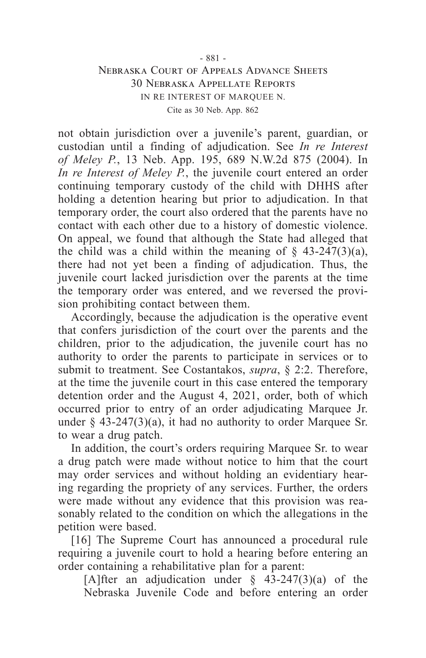not obtain jurisdiction over a juvenile's parent, guardian, or custodian until a finding of adjudication. See *In re Interest of Meley P.*, 13 Neb. App. 195, 689 N.W.2d 875 (2004). In *In re Interest of Meley P.*, the juvenile court entered an order continuing temporary custody of the child with DHHS after holding a detention hearing but prior to adjudication. In that temporary order, the court also ordered that the parents have no contact with each other due to a history of domestic violence. On appeal, we found that although the State had alleged that the child was a child within the meaning of  $\S$  43-247(3)(a), there had not yet been a finding of adjudication. Thus, the juvenile court lacked jurisdiction over the parents at the time the temporary order was entered, and we reversed the provision prohibiting contact between them.

Accordingly, because the adjudication is the operative event that confers jurisdiction of the court over the parents and the children, prior to the adjudication, the juvenile court has no authority to order the parents to participate in services or to submit to treatment. See Costantakos, *supra*, § 2:2. Therefore, at the time the juvenile court in this case entered the temporary detention order and the August 4, 2021, order, both of which occurred prior to entry of an order adjudicating Marquee Jr. under  $\S$  43-247(3)(a), it had no authority to order Marquee Sr. to wear a drug patch.

In addition, the court's orders requiring Marquee Sr. to wear a drug patch were made without notice to him that the court may order services and without holding an evidentiary hearing regarding the propriety of any services. Further, the orders were made without any evidence that this provision was reasonably related to the condition on which the allegations in the petition were based.

[16] The Supreme Court has announced a procedural rule requiring a juvenile court to hold a hearing before entering an order containing a rehabilitative plan for a parent:

[A]fter an adjudication under  $\frac{1}{2}$  43-247(3)(a) of the Nebraska Juvenile Code and before entering an order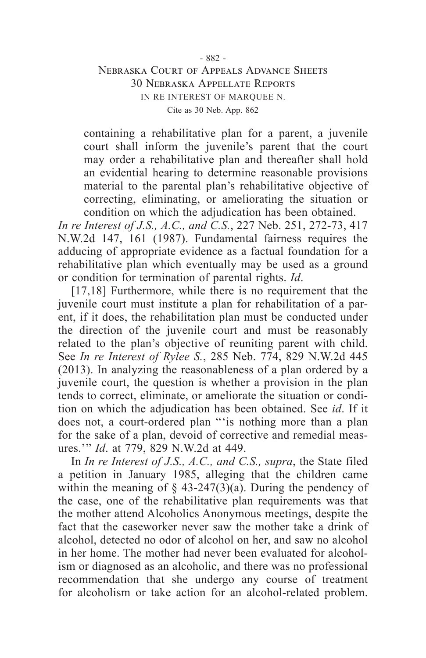containing a rehabilitative plan for a parent, a juvenile court shall inform the juvenile's parent that the court may order a rehabilitative plan and thereafter shall hold an evidential hearing to determine reasonable provisions material to the parental plan's rehabilitative objective of correcting, eliminating, or ameliorating the situation or condition on which the adjudication has been obtained.

*In re Interest of J.S., A.C., and C.S.*, 227 Neb. 251, 272-73, 417 N.W.2d 147, 161 (1987). Fundamental fairness requires the adducing of appropriate evidence as a factual foundation for a rehabilitative plan which eventually may be used as a ground or condition for termination of parental rights. *Id*.

[17,18] Furthermore, while there is no requirement that the juvenile court must institute a plan for rehabilitation of a parent, if it does, the rehabilitation plan must be conducted under the direction of the juvenile court and must be reasonably related to the plan's objective of reuniting parent with child. See *In re Interest of Rylee S.*, 285 Neb. 774, 829 N.W.2d 445 (2013). In analyzing the reasonableness of a plan ordered by a juvenile court, the question is whether a provision in the plan tends to correct, eliminate, or ameliorate the situation or condition on which the adjudication has been obtained. See *id*. If it does not, a court-ordered plan "'is nothing more than a plan for the sake of a plan, devoid of corrective and remedial measures.'" *Id*. at 779, 829 N.W.2d at 449.

In *In re Interest of J.S., A.C., and C.S., supra*, the State filed a petition in January 1985, alleging that the children came within the meaning of  $\S$  43-247(3)(a). During the pendency of the case, one of the rehabilitative plan requirements was that the mother attend Alcoholics Anonymous meetings, despite the fact that the caseworker never saw the mother take a drink of alcohol, detected no odor of alcohol on her, and saw no alcohol in her home. The mother had never been evaluated for alcoholism or diagnosed as an alcoholic, and there was no professional recommendation that she undergo any course of treatment for alcoholism or take action for an alcohol-related problem.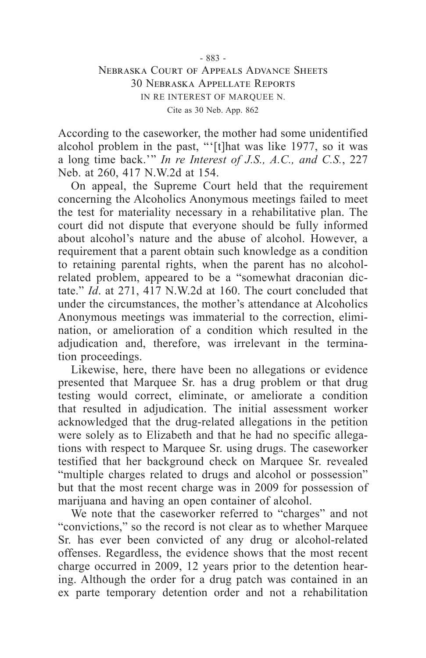According to the caseworker, the mother had some unidentified alcohol problem in the past, "'[t]hat was like 1977, so it was a long time back.'" *In re Interest of J.S., A.C., and C.S.*, 227 Neb. at 260, 417 N.W.2d at 154.

On appeal, the Supreme Court held that the requirement concerning the Alcoholics Anonymous meetings failed to meet the test for materiality necessary in a rehabilitative plan. The court did not dispute that everyone should be fully informed about alcohol's nature and the abuse of alcohol. However, a requirement that a parent obtain such knowledge as a condition to retaining parental rights, when the parent has no alcoholrelated problem, appeared to be a "somewhat draconian dictate." *Id*. at 271, 417 N.W.2d at 160. The court concluded that under the circumstances, the mother's attendance at Alcoholics Anonymous meetings was immaterial to the correction, elimination, or amelioration of a condition which resulted in the adjudication and, therefore, was irrelevant in the termination proceedings.

Likewise, here, there have been no allegations or evidence presented that Marquee Sr. has a drug problem or that drug testing would correct, eliminate, or ameliorate a condition that resulted in adjudication. The initial assessment worker acknowledged that the drug-related allegations in the petition were solely as to Elizabeth and that he had no specific allegations with respect to Marquee Sr. using drugs. The caseworker testified that her background check on Marquee Sr. revealed "multiple charges related to drugs and alcohol or possession" but that the most recent charge was in 2009 for possession of marijuana and having an open container of alcohol.

We note that the caseworker referred to "charges" and not "convictions," so the record is not clear as to whether Marquee Sr. has ever been convicted of any drug or alcohol-related offenses. Regardless, the evidence shows that the most recent charge occurred in 2009, 12 years prior to the detention hearing. Although the order for a drug patch was contained in an ex parte temporary detention order and not a rehabilitation